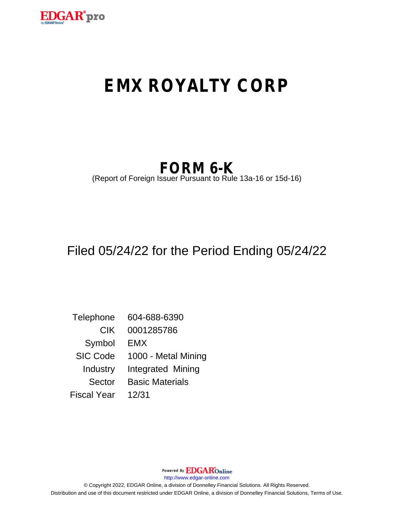

# **EMX ROYALTY CORP**

## **FORM 6-K**

(Report of Foreign Issuer Pursuant to Rule 13a-16 or 15d-16)

## Filed 05/24/22 for the Period Ending 05/24/22

Telephone 604-688-6390 CIK 0001285786 Symbol EMX SIC Code 1000 - Metal Mining Industry Integrated Mining Sector Basic Materials Fiscal Year 12/31

> Powered By **EDGAR**Online http://www.edgar-online.com

© Copyright 2022, EDGAR Online, a division of Donnelley Financial Solutions. All Rights Reserved. Distribution and use of this document restricted under EDGAR Online, a division of Donnelley Financial Solutions, Terms of Use.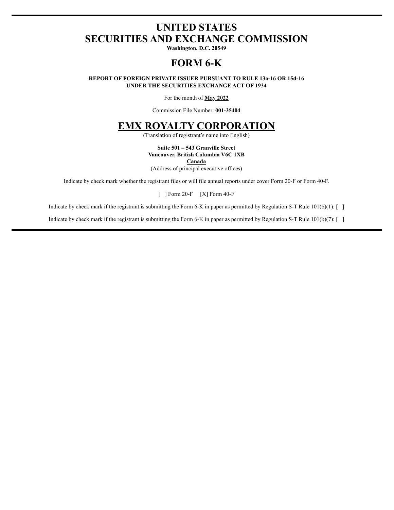## **UNITED STATES SECURITIES AND EXCHANGE COMMISSION**

Washington, D.C. 20549

## **FORM 6-K**

REPORT OF FOREIGN PRIVATE ISSUER PURSUANT TO RULE 13a-16 OR 15d-16 UNDER THE SECURITIES EXCHANGE ACT OF 1934

For the month of May 2022

Commission File Number: 001-35404

### **EMX ROYALTY CORPORATION**

(Translation of registrant's name into English)

#### Suite 501 - 543 Granville Street Vancouver, British Columbia V6C 1XB

Canada

(Address of principal executive offices)

Indicate by check mark whether the registrant files or will file annual reports under cover Form 20-F or Form 40-F.

 $[$  ] Form 20-F  $[X]$  Form 40-F

Indicate by check mark if the registrant is submitting the Form 6-K in paper as permitted by Regulation S-T Rule  $101(b)(1)$ : []

Indicate by check mark if the registrant is submitting the Form 6-K in paper as permitted by Regulation S-T Rule  $101(b)(7)$ : []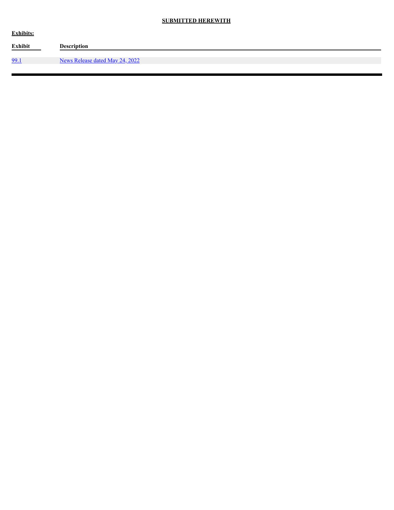#### **SUBMITTED HEREWITH**

| <b>Exhibits:</b> |                                 |  |  |  |
|------------------|---------------------------------|--|--|--|
| Exhibit          | <b>Description</b>              |  |  |  |
| 99.1             |                                 |  |  |  |
|                  | News Release dated May 24, 2022 |  |  |  |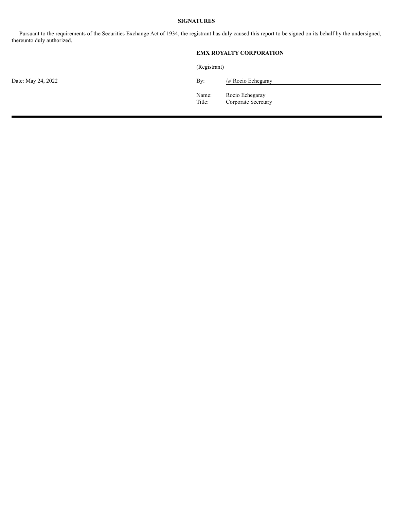#### **SIGNATURES**

Pursuant to the requirements of the Securities Exchange Act of 1934, the registrant has duly caused this report to be signed on its behalf by the undersigned, thereunto duly authorized.

#### **EMX ROYALTY CORPORATION**

(Registrant)

Date: May 24, 2022  $\qquad \qquad$  By:

| 3v: | /s/ Rocio Echegaray |  |
|-----|---------------------|--|

Name: Rocio Echegaray Title: Corporate Secretary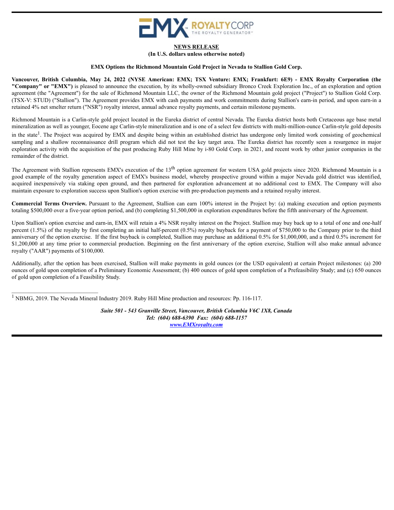

#### **NEWS RELEASE**

**(In U.S. dollars unless otherwise noted)**

#### **EMX Options the Richmond Mountain Gold Project in Nevada to Stallion Gold Corp.**

<span id="page-4-0"></span>Vancouver, British Columbia, May 24, 2022 (NYSE American: EMX; TSX Venture: EMX; Frankfurt: 6E9) - EMX Rovalty Corporation (the **"Company" or "EMX")** is pleased to announce the execution, by its wholly-owned subsidiary Bronco Creek Exploration Inc., of an exploration and option agreement (the "Agreement") for the sale of Richmond Mountain LLC, the owner of the Richmond Mountain gold project ("Project") to Stallion Gold Corp. (TSX-V: STUD) ("Stallion"). The Agreement provides EMX with cash payments and work commitments during Stallion's earn-in period, and upon earn-in a retained 4% net smelter return ("NSR") royalty interest, annual advance royalty payments, and certain milestone payments.

<span id="page-4-2"></span>Richmond Mountain is a Carlin-style gold project located in the Eureka district of central Nevada. The Eureka district hosts both Cretaceous age base metal mineralization as well as younger, Eocene age Carlin-style mineralization and is one of a select few districts with multi-million-ounce Carlin-style gold deposits in the state<sup>[1](#page-4-1)</sup>. The Project was acquired by EMX and despite being within an established district has undergone only limited work consisting of geochemical sampling and a shallow reconnaissance drill program which did not test the key target area. The Eureka district has recently seen a resurgence in major exploration activity with the acquisition of the past producing Ruby Hill Mine by i-80 Gold Corp. in 2021, and recent work by other junior companies in the remainder of the district.

The Agreement with Stallion represents EMX's execution of the  $13<sup>th</sup>$  option agreement for western USA gold projects since 2020. Richmond Mountain is a good example of the royalty generation aspect of EMX's business model, whereby prospective ground within a major Nevada gold district was identified, acquired inexpensively via staking open ground, and then partnered for exploration advancement at no additional cost to EMX. The Company will also maintain exposure to exploration success upon Stallion's option exercise with pre-production payments and a retained royalty interest.

**Commercial Terms Overview.** Pursuant to the Agreement, Stallion can earn 100% interest in the Project by: (a) making execution and option payments totaling \$500,000 over a five-year option period, and (b) completing \$1,500,000 in exploration expenditures before the fifth anniversary of the Agreement.

Upon Stallion's option exercise and earn-in, EMX will retain a 4% NSR royalty interest on the Project. Stallion may buy back up to a total of one and one-half percent  $(1.5\%)$  of the royalty by first completing an initial half-percent  $(0.5\%)$  royalty buyback for a payment of \$750,000 to the Company prior to the third anniversary of the option exercise. If the first buyback is completed, Stallion may purchase an additional 0.5% for \$1,000,000, and a third 0.5% increment for \$1,200,000 at any time prior to commercial production. Beginning on the first anniversary of the option exercise, Stallion will also make annual advance royalty ("AAR") payments of \$100,000.

Additionally, after the option has been exercised, Stallion will make payments in gold ounces (or the USD equivalent) at certain Project milestones: (a) 200 ounces of gold upon completion of a Preliminary Economic Assessment; (b) 400 ounces of gold upon completion of a Prefeasibility Study; and (c) 650 ounces of gold upon completion of a Feasibility Study.

<span id="page-4-1"></span><sup>[1](#page-4-2)</sup> NBMG, 2019. The Nevada Mineral Industry 2019. Ruby Hill Mine production and resources: Pp. 116-117.

*Suite 501 - 543 Granville Street, Vancouver, British Columbia V6C 1X8, Canada Tel: (604) 688-6390 Fax: (604) 688-1157 www.EMXroyalty.com*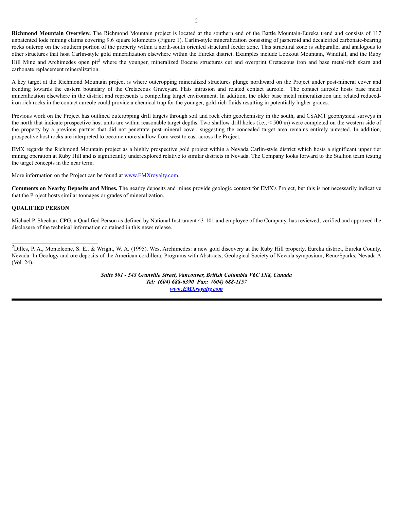**Richmond Mountain Overview.** The Richmond Mountain project is located at the southern end of the Battle Mountain-Eureka trend and consists of 117 unpatented lode mining claims covering 9.6 square kilometers (Figure 1). Carlin-style mineralization consisting of jasperoid and decalcified carbonate-bearing rocks outcrop on the southern portion of the property within a north-south oriented structural feeder zone. This structural zone is subparallel and analogous to other structures that host Carlin-style gold mineralization elsewhere within the Eureka district. Examples include Lookout Mountain, Windfall, and the Ruby Hill Mine and Archimedes open pit<sup>[2](#page-5-0)</sup> where the younger, mineralized Eocene structures cut and overprint Cretaceous iron and base metal-rich skarn and carbonate replacement mineralization.

A key target at the Richmond Mountain project is where outcropping mineralized structures plunge northward on the Project under post-mineral cover and trending towards the eastern boundary of the Cretaceous Graveyard Flats intrusion and related contact aureole. The contact aureole hosts base metal mineralization elsewhere in the district and represents a compelling target environment. In addition, the older base metal mineralization and related reducediron rich rocks in the contact aureole could provide a chemical trap for the younger, gold-rich fluids resulting in potentially higher grades.

Previous work on the Project has outlined outcropping drill targets through soil and rock chip geochemistry in the south, and CSAMT geophysical surveys in the north that indicate prospective host units are within reasonable target depths. Two shallow drill holes (i.e., < 500 m) were completed on the western side of the property by a previous partner that did not penetrate post-mineral cover, suggesting the concealed target area remains entirely untested. In addition, prospective host rocks are interpreted to become more shallow from west to east across the Project.

EMX regards the Richmond Mountain project as a highly prospective gold project within a Nevada Carlin-style district which hosts a significant upper tier mining operation at Ruby Hill and is significantly underexplored relative to similar districts in Nevada. The Company looks forward to the Stallion team testing the target concepts in the near term.

More information on the Project can be found at www.EMXroyalty.com.

**Comments on Nearby Deposits and Mines.** The nearby deposits and mines provide geologic context for EMX's Project, but this is not necessarily indicative that the Project hosts similar tonnages or grades of mineralization.

#### **QUALIFIED PERSON**

Michael P. Sheehan, CPG, a Qualified Person as defined by National Instrument 43-101 and employee of the Company, has reviewed, verified and approved the disclosure of the technical information contained in this news release.

*Suite 501 - 543 Granville Street, Vancouver, British Columbia V6C 1X8, Canada Tel: (604) 688-6390 Fax: (604) 688-1157 www.EMXroyalty.com*

<span id="page-5-0"></span> $^{2}$ Dilles, P. A., Monteleone, S. E., & Wright, W. A. (1995). West Archimedes: a new gold discovery at the Ruby Hill property, Eureka district, Eureka County, Nevada. In Geology and ore deposits of the American cordillera, Programs with Abstracts, Geological Society of Nevada symposium, Reno/Sparks, Nevada A (Vol. 24).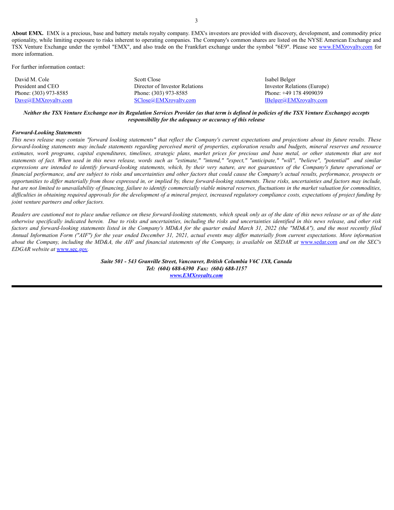**About EMX.** EMX is a precious, base and battery metals royalty company. EMX's investors are provided with discovery, development, and commodity price optionality, while limiting exposure to risks inherent to operating companies. The Company's common shares are listed on the NYSE American Exchange and TSX Venture Exchange under the symbol "EMX", and also trade on the Frankfurt exchange under the symbol "6E9". Please see www.EMXroyalty.com for more information.

For further information contact:

| David M. Cole         | Scott Close                              | Isabel Belger                 |
|-----------------------|------------------------------------------|-------------------------------|
| President and CEO     | Director of Investor Relations           | Investor Relations (Europe)   |
| Phone: (303) 973-8585 | Phone: (303) 973-8585                    | Phone: $+49$ 178 4909039      |
| Dave@EMXroyalty.com   | <b>SClose</b> (a) <b>EMX</b> royalty.com | <u>IBelger@EMXroyalty.com</u> |

Neither the TSX Venture Exchange nor its Regulation Services Provider (as that term is defined in policies of the TSX Venture Exchange) accepts *responsibility for the adequacy or accuracy of this release*

#### *Forward-Looking Statements*

This news release may contain "forward looking statements" that reflect the Company's current expectations and projections about its future results. These forward-looking statements may include statements regarding perceived merit of properties, exploration results and budgets, mineral reserves and resource estimates, work programs, capital expenditures, timelines, strategic plans, market prices for precious and base metal, or other statements that are not statements of fact. When used in this news release, words such as "estimate," "intend," "expect," "anticipate," "will", "believe", "potential" and similar expressions are intended to identify forward-looking statements, which, by their very nature, are not guarantees of the Company's future operational or financial performance, and are subject to risks and uncertainties and other factors that could cause the Company's actual results, performance, prospects or opportunities to differ materially from those expressed in, or implied by, these forward-looking statements. These risks, uncertainties and factors may include, but are not limited to unavailability of financing, failure to identify commercially viable mineral reserves, fluctuations in the market valuation for commodities, difficulties in obtaining required approvals for the development of a mineral project, increased regulatory compliance costs, expectations of project funding by *joint venture partners and other factors.*

Readers are cautioned not to place undue reliance on these forward-looking statements, which speak only as of the date of this news release or as of the date otherwise specifically indicated herein. Due to risks and uncertainties, including the risks and uncertainties identified in this news release, and other risk factors and forward-looking statements listed in the Company's MD&A for the quarter ended March 31, 2022 (the "MD&A"), and the most recently filed Annual Information Form ("AIF") for the year ended December 31, 2021, actual events may differ materially from current expectations. More information about the Company, including the MD&A, the AIF and financial statements of the Company, is available on SEDAR at www.sedar.com and on the SEC's *EDGAR website at* www.sec.gov*.*

> *Suite 501 - 543 Granville Street, Vancouver, British Columbia V6C 1X8, Canada Tel: (604) 688-6390 Fax: (604) 688-1157 www.EMXroyalty.com*